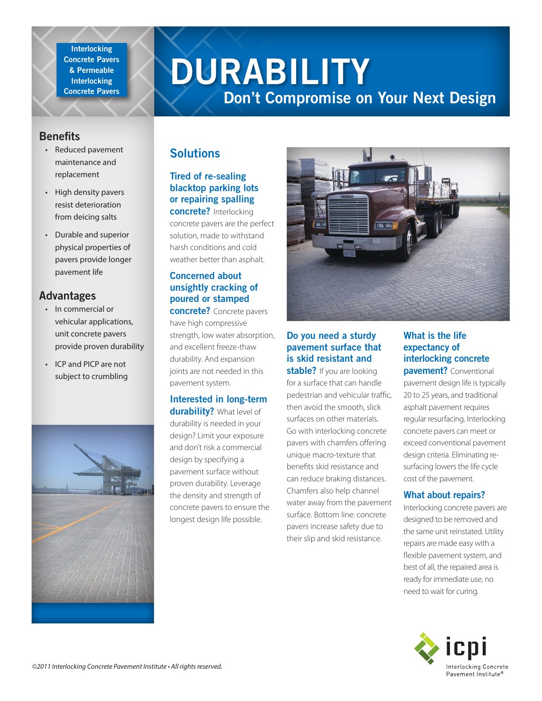**Interlocking Concrete Pavers & Permeable Interlocking Concrete Pavers**

# **DURABILITY**

## **Don't Compromise on Your Next Design**

## **Benefits**

- Reduced pavement maintenance and replacement
- High density pavers resist deterioration from deicing salts
- Durable and superior physical properties of pavers provide longer pavement life

## **Advantages**

- In commercial or vehicular applications, unit concrete pavers provide proven durability
- ICP and PICP are not subject to crumbling



## **Solutions**

## **Tired of re-sealing blacktop parking lots or repairing spalling**

**concrete?** Interlocking concrete pavers are the perfect solution, made to withstand harsh conditions and cold weather better than asphalt.

#### **Concerned about unsightly cracking of poured or stamped**

**concrete?** Concrete pavers have high compressive strength, low water absorption, and excellent freeze-thaw durability. And expansion joints are not needed in this pavement system.

#### **Interested in long-term durability?** What level of

durability is needed in your design? Limit your exposure and don't risk a commercial design by specifying a pavement surface without proven durability. Leverage the density and strength of concrete pavers to ensure the longest design life possible.



## **Do you need a sturdy pavement surface that is skid resistant and**

**stable?** If you are looking for a surface that can handle pedestrian and vehicular traffic, then avoid the smooth, slick surfaces on other materials. Go with interlocking concrete pavers with chamfers offering unique macro-texture that benefits skid resistance and can reduce braking distances. Chamfers also help channel water away from the pavement surface. Bottom line: concrete pavers increase safety due to their slip and skid resistance.

## **What is the life expectancy of interlocking concrete**

**pavement?** Conventional pavement design life is typically 20 to 25 years, and traditional asphalt pavement requires regular resurfacing. Interlocking concrete pavers can meet or exceed conventional pavement design criteria. Eliminating resurfacing lowers the life cycle cost of the pavement.

#### **What about repairs?**

Interlocking concrete pavers are designed to be removed and the same unit reinstated. Utility repairs are made easy with a flexible pavement system, and best of all, the repaired area is ready for immediate use, no need to wait for curing.